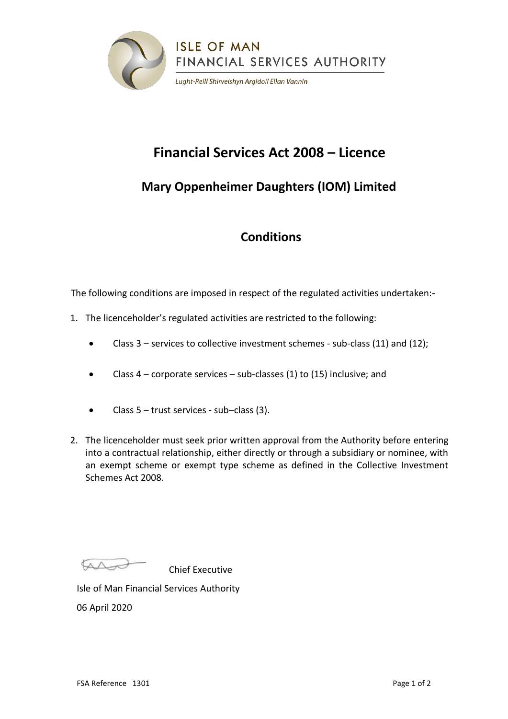

# **Financial Services Act 2008 – Licence**

## **Mary Oppenheimer Daughters (IOM) Limited**

### **Conditions**

The following conditions are imposed in respect of the regulated activities undertaken:-

- 1. The licenceholder's regulated activities are restricted to the following:
	- Class 3 services to collective investment schemes sub-class (11) and (12);
	- Class  $4$  corporate services sub-classes (1) to (15) inclusive; and
	- Class  $5 -$  trust services sub-class (3).
- 2. The licenceholder must seek prior written approval from the Authority before entering into a contractual relationship, either directly or through a subsidiary or nominee, with an exempt scheme or exempt type scheme as defined in the Collective Investment Schemes Act 2008.

As

Chief Executive

Isle of Man Financial Services Authority 06 April 2020